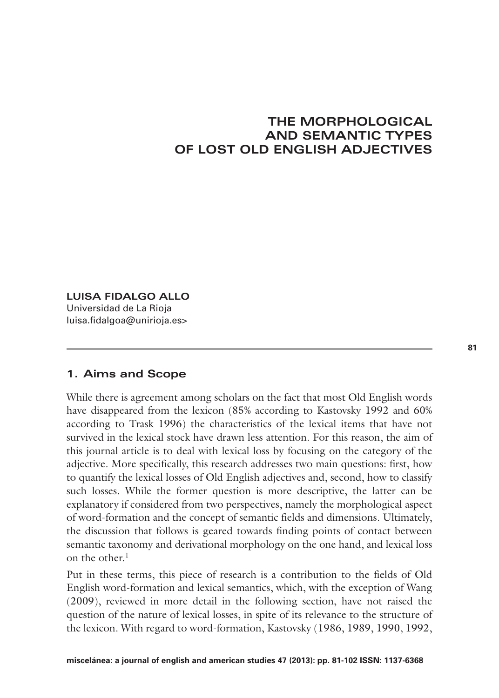# **THE MORPHOLOGICAL AND SEMANTIC TYPES OF LOST OLD ENGLISH ADJECTIVES**

# **LUISA FIDALGO ALLO**

Universidad de La Rioja luisa.fidalgoa@unirioja.es>

# **1. Aims and Scope**

While there is agreement among scholars on the fact that most Old English words have disappeared from the lexicon (85% according to Kastovsky 1992 and 60% according to Trask 1996) the characteristics of the lexical items that have not survived in the lexical stock have drawn less attention. For this reason, the aim of this journal article is to deal with lexical loss by focusing on the category of the adjective. More specifically, this research addresses two main questions: first, how to quantify the lexical losses of Old English adjectives and, second, how to classify such losses. While the former question is more descriptive, the latter can be explanatory if considered from two perspectives, namely the morphological aspect of word-formation and the concept of semantic fields and dimensions. Ultimately, the discussion that follows is geared towards finding points of contact between semantic taxonomy and derivational morphology on the one hand, and lexical loss on the other.<sup>1</sup>

Put in these terms, this piece of research is a contribution to the fields of Old English word-formation and lexical semantics, which, with the exception of Wang (2009), reviewed in more detail in the following section, have not raised the question of the nature of lexical losses, in spite of its relevance to the structure of the lexicon. With regard to word-formation, Kastovsky (1986, 1989, 1990, 1992,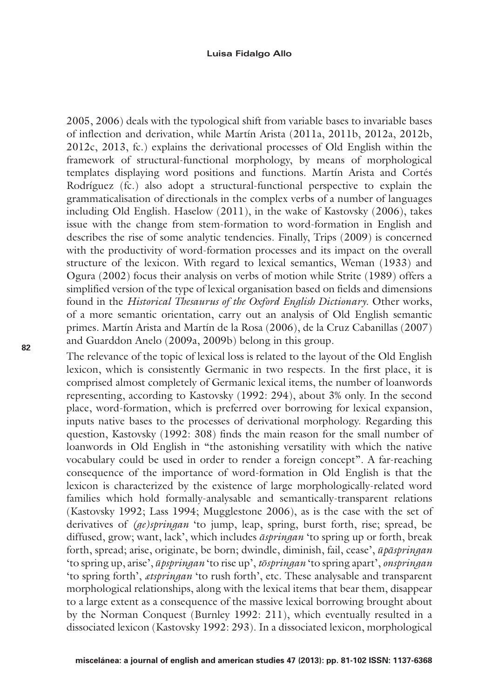2005, 2006) deals with the typological shift from variable bases to invariable bases of inflection and derivation, while Martín Arista (2011a, 2011b, 2012a, 2012b, 2012c, 2013, fc.) explains the derivational processes of Old English within the framework of structural-functional morphology, by means of morphological templates displaying word positions and functions. Martín Arista and Cortés Rodríguez (fc.) also adopt a structural-functional perspective to explain the grammaticalisation of directionals in the complex verbs of a number of languages including Old English. Haselow (2011), in the wake of Kastovsky (2006), takes issue with the change from stem-formation to word-formation in English and describes the rise of some analytic tendencies. Finally, Trips (2009) is concerned with the productivity of word-formation processes and its impact on the overall structure of the lexicon. With regard to lexical semantics, Weman (1933) and Ogura (2002) focus their analysis on verbs of motion while Strite (1989) offers a simplified version of the type of lexical organisation based on fields and dimensions found in the *Historical Thesaurus of the Oxford English Dictionary*. Other works, of a more semantic orientation, carry out an analysis of Old English semantic primes. Martín Arista and Martín de la Rosa (2006), de la Cruz Cabanillas (2007) and Guarddon Anelo (2009a, 2009b) belong in this group.

The relevance of the topic of lexical loss is related to the layout of the Old English lexicon, which is consistently Germanic in two respects. In the first place, it is comprised almost completely of Germanic lexical items, the number of loanwords representing, according to Kastovsky (1992: 294), about 3% only. In the second place, word-formation, which is preferred over borrowing for lexical expansion, inputs native bases to the processes of derivational morphology. Regarding this question, Kastovsky (1992: 308) finds the main reason for the small number of loanwords in Old English in "the astonishing versatility with which the native vocabulary could be used in order to render a foreign concept". A far-reaching consequence of the importance of word-formation in Old English is that the lexicon is characterized by the existence of large morphologically-related word families which hold formally-analysable and semantically-transparent relations (Kastovsky 1992; Lass 1994; Mugglestone 2006), as is the case with the set of derivatives of *(ge)springan* 'to jump, leap, spring, burst forth, rise; spread, be diffused, grow; want, lack', which includes *āspringan* 'to spring up or forth, break forth, spread; arise, originate, be born; dwindle, diminish, fail, cease', *ūpāspringan*  'to spring up, arise', *ūpspringan* 'to rise up', *tōspringan* 'to spring apart', *onspringan* 'to spring forth', *ætspringan* 'to rush forth', etc. These analysable and transparent morphological relationships, along with the lexical items that bear them, disappear to a large extent as a consequence of the massive lexical borrowing brought about by the Norman Conquest (Burnley 1992: 211), which eventually resulted in a dissociated lexicon (Kastovsky 1992: 293). In a dissociated lexicon, morphological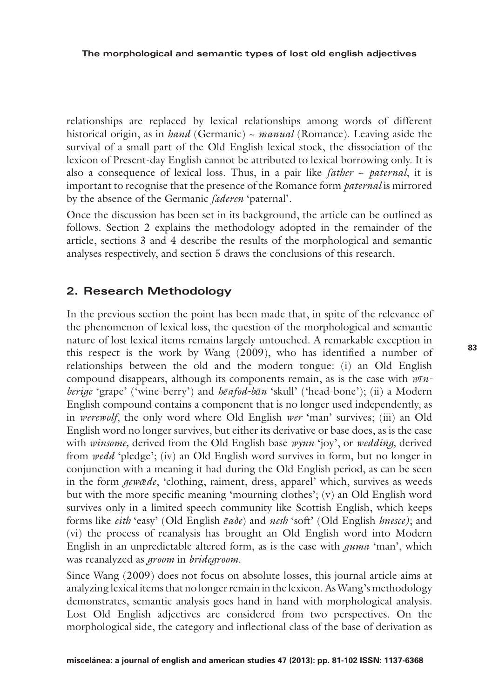relationships are replaced by lexical relationships among words of different historical origin, as in *hand* (Germanic) ~ *manual* (Romance). Leaving aside the survival of a small part of the Old English lexical stock, the dissociation of the lexicon of Present-day English cannot be attributed to lexical borrowing only. It is also a consequence of lexical loss. Thus, in a pair like *father* ~ *paternal*, it is important to recognise that the presence of the Romance form *paternal* is mirrored by the absence of the Germanic *fæderen* 'paternal'.

Once the discussion has been set in its background, the article can be outlined as follows. Section 2 explains the methodology adopted in the remainder of the article, sections 3 and 4 describe the results of the morphological and semantic analyses respectively, and section 5 draws the conclusions of this research.

# **2. Research Methodology**

In the previous section the point has been made that, in spite of the relevance of the phenomenon of lexical loss, the question of the morphological and semantic nature of lost lexical items remains largely untouched. A remarkable exception in this respect is the work by Wang (2009), who has identified a number of relationships between the old and the modern tongue: (i) an Old English compound disappears, although its components remain, as is the case with *wīnberige* 'grape' ('wine-berry') and *hēafod-bān* 'skull' ('head-bone'); (ii) a Modern English compound contains a component that is no longer used independently, as in *werewolf*, the only word where Old English *wer* 'man' survives; (iii) an Old English word no longer survives, but either its derivative or base does, as is the case with *winsome,* derived from the Old English base *wynn* 'joy', or *wedding,* derived from *wedd* 'pledge'; (iv) an Old English word survives in form, but no longer in conjunction with a meaning it had during the Old English period, as can be seen in the form *gewǣde*, 'clothing, raiment, dress, apparel' which, survives as weeds but with the more specific meaning 'mourning clothes'; (v) an Old English word survives only in a limited speech community like Scottish English, which keeps forms like *eith* 'easy' (Old English *ēaðe*) and *nesh* 'soft' (Old English *hnesce)*; and (vi) the process of reanalysis has brought an Old English word into Modern English in an unpredictable altered form, as is the case with *guma* 'man', which was reanalyzed as *groom* in *bridegroom*.

Since Wang (2009) does not focus on absolute losses, this journal article aims at analyzing lexical items that no longer remain in the lexicon. As Wang's methodology demonstrates, semantic analysis goes hand in hand with morphological analysis. Lost Old English adjectives are considered from two perspectives. On the morphological side, the category and inflectional class of the base of derivation as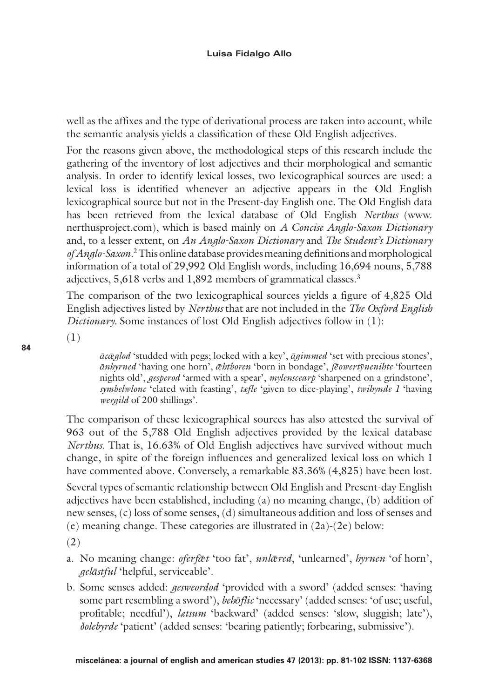well as the affixes and the type of derivational process are taken into account, while the semantic analysis yields a classification of these Old English adjectives.

For the reasons given above, the methodological steps of this research include the gathering of the inventory of lost adjectives and their morphological and semantic analysis. In order to identify lexical losses, two lexicographical sources are used: a lexical loss is identified whenever an adjective appears in the Old English lexicographical source but not in the Present-day English one. The Old English data has been retrieved from the lexical database of Old English *Nerthus* (www. nerthusproject.com), which is based mainly on *A Concise Anglo-Saxon Dictionary*  and, to a lesser extent, on *An Anglo-Saxon Dictionary* and *The Student's Dictionary of Anglo-Saxon*. 2This online database provides meaning definitions and morphological information of a total of 29,992 Old English words, including 16,694 nouns, 5,788 adjectives, 5,618 verbs and 1,892 members of grammatical classes.3

The comparison of the two lexicographical sources yields a figure of 4,825 Old English adjectives listed by *Nerthus* that are not included in the *The Oxford English Dictionary*. Some instances of lost Old English adjectives follow in (1):

(1)

*ācǣglod* 'studded with pegs; locked with a key', *āgimmed* 'set with precious stones', *ānhyrned* 'having one horn', *ǣhtboren* 'born in bondage', *fēowertȳnenihte* 'fourteen nights old', *gesperod* 'armed with a spear', *mylenscearp* 'sharpened on a grindstone', *symbelwlonc* 'elated with feasting', *tæfle* 'given to dice-playing', *twihynde 1* 'having *wergild* of 200 shillings'.

The comparison of these lexicographical sources has also attested the survival of 963 out of the 5,788 Old English adjectives provided by the lexical database *Nerthus.* That is, 16.63% of Old English adjectives have survived without much change, in spite of the foreign influences and generalized lexical loss on which I have commented above. Conversely, a remarkable 83.36% (4,825) have been lost. Several types of semantic relationship between Old English and Present-day English adjectives have been established, including (a) no meaning change, (b) addition of new senses, (c) loss of some senses, (d) simultaneous addition and loss of senses and (e) meaning change. These categories are illustrated in (2a)-(2e) below:

(2)

- a. No meaning change: *oferfǣt* 'too fat', *unlǣred*, 'unlearned', *hyrnen* 'of horn', *gelāstful* 'helpful, serviceable'.
- b. Some senses added: *gesweordod* 'provided with a sword' (added senses: 'having some part resembling a sword'), *behōflic* 'necessary' (added senses: 'of use; useful, profitable; needful'), *lætsum* 'backward' (added senses: 'slow, sluggish; late'), *ðolebyrde* 'patient' (added senses: 'bearing patiently; forbearing, submissive').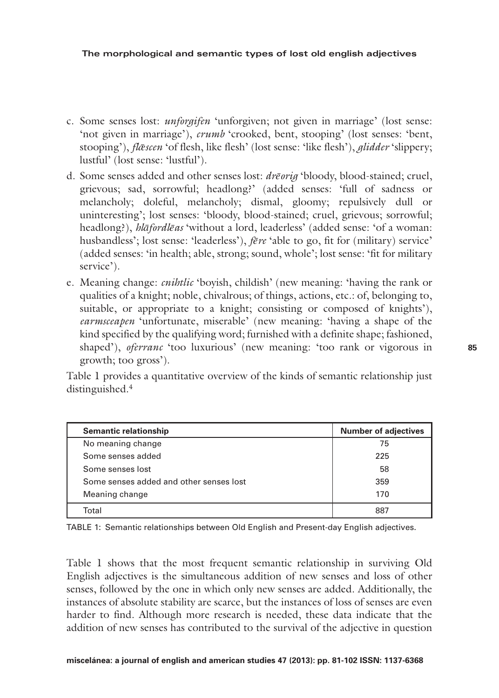- c. Some senses lost: *unforgifen* 'unforgiven; not given in marriage' (lost sense: 'not given in marriage'), *crumb* 'crooked, bent, stooping' (lost senses: 'bent, stooping'), *flǣscen* 'of flesh, like flesh' (lost sense: 'like flesh'), *glidder* 'slippery; lustful' (lost sense: 'lustful').
- d. Some senses added and other senses lost: *drēorig* 'bloody, blood-stained; cruel, grievous; sad, sorrowful; headlong?' (added senses: 'full of sadness or melancholy; doleful, melancholy; dismal, gloomy; repulsively dull or uninteresting'; lost senses: 'bloody, blood-stained; cruel, grievous; sorrowful; headlong?), *hlāfordlēas* 'without a lord, leaderless' (added sense: 'of a woman: husbandless'; lost sense: 'leaderless'), *fēre* 'able to go, fit for (military) service' (added senses: 'in health; able, strong; sound, whole'; lost sense: 'fit for military service').
- e. Meaning change: *cnihtlic* 'boyish, childish' (new meaning: 'having the rank or qualities of a knight; noble, chivalrous; of things, actions, etc.: of, belonging to, suitable, or appropriate to a knight; consisting or composed of knights'), *earmsceapen* 'unfortunate, miserable' (new meaning: 'having a shape of the kind specified by the qualifying word; furnished with a definite shape; fashioned, shaped'), *oferranc* 'too luxurious' (new meaning: 'too rank or vigorous in growth; too gross').

Table 1 provides a quantitative overview of the kinds of semantic relationship just distinguished.4

| <b>Semantic relationship</b>            | <b>Number of adjectives</b> |
|-----------------------------------------|-----------------------------|
| No meaning change                       | 75                          |
| Some senses added                       | 225                         |
| Some senses lost                        | 58                          |
| Some senses added and other senses lost | 359                         |
| Meaning change                          | 170                         |
| Total                                   | 887                         |

Table 1: Semantic relationships between Old English and Present-day English adjectives.

Table 1 shows that the most frequent semantic relationship in surviving Old English adjectives is the simultaneous addition of new senses and loss of other senses, followed by the one in which only new senses are added. Additionally, the instances of absolute stability are scarce, but the instances of loss of senses are even harder to find. Although more research is needed, these data indicate that the addition of new senses has contributed to the survival of the adjective in question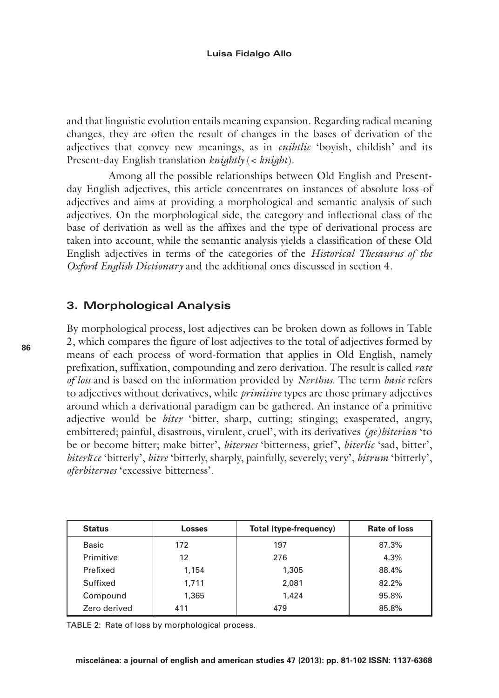and that linguistic evolution entails meaning expansion. Regarding radical meaning changes, they are often the result of changes in the bases of derivation of the adjectives that convey new meanings, as in *cnihtlic* 'boyish, childish' and its Present-day English translation *knightly* (< *knight*).

Among all the possible relationships between Old English and Presentday English adjectives, this article concentrates on instances of absolute loss of adjectives and aims at providing a morphological and semantic analysis of such adjectives. On the morphological side, the category and inflectional class of the base of derivation as well as the affixes and the type of derivational process are taken into account, while the semantic analysis yields a classification of these Old English adjectives in terms of the categories of the *Historical Thesaurus of the Oxford English Dictionary* and the additional ones discussed in section 4.

## **3. Morphological Analysis**

By morphological process, lost adjectives can be broken down as follows in Table 2, which compares the figure of lost adjectives to the total of adjectives formed by means of each process of word-formation that applies in Old English, namely prefixation, suffixation, compounding and zero derivation. The result is called *rate of loss* and is based on the information provided by *Nerthus*. The term *basic* refers to adjectives without derivatives, while *primitive* types are those primary adjectives around which a derivational paradigm can be gathered. An instance of a primitive adjective would be *biter* 'bitter, sharp, cutting; stinging; exasperated, angry, embittered; painful, disastrous, virulent, cruel', with its derivatives *(ge)biterian* 'to be or become bitter; make bitter', *biternes* 'bitterness, grief', *biterlic* 'sad, bitter', *biterlīce* 'bitterly', *bitre* 'bitterly, sharply, painfully, severely; very', *bitrum* 'bitterly', *oferbiternes* 'excessive bitterness'.

| <b>Status</b> | <b>Losses</b> | Total (type-frequency) | Rate of loss |
|---------------|---------------|------------------------|--------------|
| <b>Basic</b>  | 172           | 197                    | 87.3%        |
| Primitive     | 12            | 276                    | 4.3%         |
| Prefixed      | 1,154         | 1,305                  | 88.4%        |
| Suffixed      | 1.711         | 2.081                  | 82.2%        |
| Compound      | 1,365         | 1.424                  | 95.8%        |
| Zero derived  | 411           | 479                    | 85.8%        |

TABLE 2: Rate of loss by morphological process.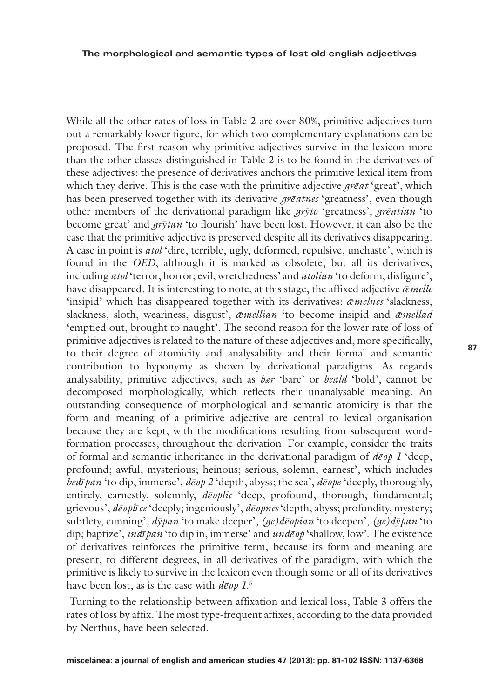**The morphological and semantic types of lost old english adjectives**

While all the other rates of loss in Table 2 are over 80%, primitive adjectives turn out a remarkably lower figure, for which two complementary explanations can be proposed. The first reason why primitive adjectives survive in the lexicon more than the other classes distinguished in Table 2 is to be found in the derivatives of these adjectives: the presence of derivatives anchors the primitive lexical item from which they derive. This is the case with the primitive adjective *grēat* 'great', which has been preserved together with its derivative *grēatnes* 'greatness', even though other members of the derivational paradigm like *grȳto* 'greatness', *grēatian* 'to become great' and *grȳtan* 'to flourish' have been lost. However, it can also be the case that the primitive adjective is preserved despite all its derivatives disappearing. A case in point is *atol* 'dire, terrible, ugly, deformed, repulsive, unchaste', which is found in the *OED*, although it is marked as obsolete, but all its derivatives, including *atol* 'terror, horror; evil, wretchedness' and *atolian* 'to deform, disfigure', have disappeared. It is interesting to note, at this stage, the affixed adjective  $\bar{\alpha}$ *melle* 'insipid' which has disappeared together with its derivatives: *ǣmelnes* 'slackness, slackness, sloth, weariness, disgust', *ǣmellian* 'to become insipid and *ǣmellad*  'emptied out, brought to naught'. The second reason for the lower rate of loss of primitive adjectives is related to the nature of these adjectives and, more specifically, to their degree of atomicity and analysability and their formal and semantic contribution to hyponymy as shown by derivational paradigms. As regards analysability, primitive adjectives, such as *bær* 'bare' or *beald* 'bold', cannot be decomposed morphologically, which reflects their unanalysable meaning. An outstanding consequence of morphological and semantic atomicity is that the form and meaning of a primitive adjective are central to lexical organisation because they are kept, with the modifications resulting from subsequent wordformation processes, throughout the derivation. For example, consider the traits of formal and semantic inheritance in the derivational paradigm of *dēop 1* 'deep, profound; awful, mysterious; heinous; serious, solemn, earnest', which includes *bedīpan* 'to dip, immerse', *dēop 2* 'depth, abyss; the sea', *dēope* 'deeply, thoroughly, entirely, earnestly, solemnly, *dēoplic* 'deep, profound, thorough, fundamental; grievous', *dēoplīce* 'deeply; ingeniously', *dēopnes* 'depth, abyss; profundity, mystery; subtlety, cunning', *dȳpan* 'to make deeper', *(ge)dēopian* 'to deepen', *(ge)dȳpan* 'to dip; baptize', *indīpan* 'to dip in, immerse' and *undēop* 'shallow, low'. The existence of derivatives reinforces the primitive term, because its form and meaning are present, to different degrees, in all derivatives of the paradigm, with which the primitive is likely to survive in the lexicon even though some or all of its derivatives have been lost, as is the case with *dēop 1*. 5

Turning to the relationship between affixation and lexical loss, Table 3 offers the rates of loss by affix. The most type-frequent affixes, according to the data provided by Nerthus, have been selected.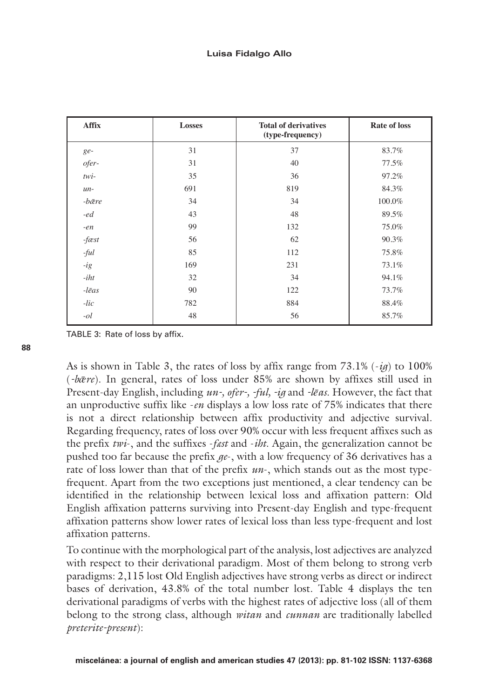| Affix         | <b>Losses</b> | <b>Total of derivatives</b><br>(type-frequency) | Rate of loss |
|---------------|---------------|-------------------------------------------------|--------------|
| ge-           | 31            | 37                                              | 83.7%        |
| ofer-         | 31            | 40                                              | 77.5%        |
| twi-          | 35            | 36                                              | 97.2%        |
| $un-$         | 691           | 819                                             | 84.3%        |
| -bære         | 34            | 34                                              | 100.0%       |
| -ed           | 43            | 48                                              | 89.5%        |
| $-en$         | 99            | 132                                             | 75.0%        |
| $-fæst$       | 56            | 62                                              | 90.3%        |
| $-ful$        | 85            | 112                                             | 75.8%        |
| -ig           | 169           | 231                                             | 73.1%        |
| -iht          | 32            | 34                                              | 94.1%        |
| $-l\bar{e}as$ | 90            | 122                                             | 73.7%        |
| -lic          | 782           | 884                                             | 88.4%        |
| $-ol$         | 48            | 56                                              | 85.7%        |

TABLE 3: Rate of loss by affix.

As is shown in Table 3, the rates of loss by affix range from  $73.1\%$  ( $-iq$ ) to 100% (*-bǣre*). In general, rates of loss under 85% are shown by affixes still used in Present-day English, including *un-, ofer-, -ful, -ig* and *-lēas*. However, the fact that an unproductive suffix like -*en* displays a low loss rate of 75% indicates that there is not a direct relationship between affix productivity and adjective survival. Regarding frequency, rates of loss over 90% occur with less frequent affixes such as the prefix *twi*-, and the suffixes -*fæst* and -*iht*. Again, the generalization cannot be pushed too far because the prefix *ge*-, with a low frequency of 36 derivatives has a rate of loss lower than that of the prefix *un*-, which stands out as the most typefrequent. Apart from the two exceptions just mentioned, a clear tendency can be identified in the relationship between lexical loss and affixation pattern: Old English affixation patterns surviving into Present-day English and type-frequent affixation patterns show lower rates of lexical loss than less type-frequent and lost affixation patterns.

To continue with the morphological part of the analysis, lost adjectives are analyzed with respect to their derivational paradigm. Most of them belong to strong verb paradigms: 2,115 lost Old English adjectives have strong verbs as direct or indirect bases of derivation, 43.8% of the total number lost. Table 4 displays the ten derivational paradigms of verbs with the highest rates of adjective loss (all of them belong to the strong class, although *witan* and *cunnan* are traditionally labelled *preterite-present*):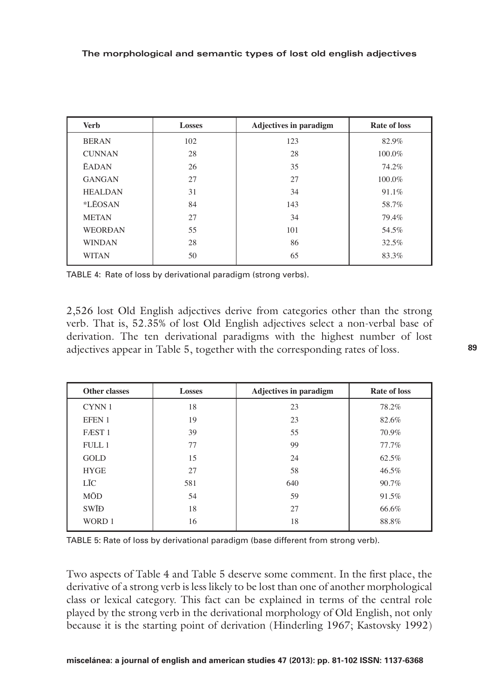| <b>Verb</b>    | <b>Losses</b> | <b>Adjectives in paradigm</b> | Rate of loss |
|----------------|---------------|-------------------------------|--------------|
| <b>BERAN</b>   | 102           | 123                           | 82.9%        |
| <b>CUNNAN</b>  | 28            | 28                            | 100.0%       |
| <b>EADAN</b>   | 26            | 35                            | 74.2%        |
| <b>GANGAN</b>  | 27            | 27                            | 100.0%       |
| <b>HEALDAN</b> | 31            | 34                            | 91.1%        |
| *LEOSAN        | 84            | 143                           | 58.7%        |
| <b>METAN</b>   | 27            | 34                            | 79.4%        |
| <b>WEORDAN</b> | 55            | 101                           | 54.5%        |
| <b>WINDAN</b>  | 28            | 86                            | 32.5%        |
| <b>WITAN</b>   | 50            | 65                            | 83.3%        |
|                |               |                               |              |

TABLE 4: Rate of loss by derivational paradigm (strong verbs).

2,526 lost Old English adjectives derive from categories other than the strong verb. That is, 52.35% of lost Old English adjectives select a non-verbal base of derivation. The ten derivational paradigms with the highest number of lost adjectives appear in Table 5, together with the corresponding rates of loss.

| <b>Other classes</b> | <b>Losses</b> | <b>Adjectives in paradigm</b> | Rate of loss |
|----------------------|---------------|-------------------------------|--------------|
| CYNN 1               | 18            | 23                            | 78.2%        |
| EFEN 1               | 19            | 23                            | 82.6%        |
| FÆST <sub>1</sub>    | 39            | 55                            | 70.9%        |
| <b>FULL1</b>         | 77            | 99                            | 77.7%        |
| <b>GOLD</b>          | 15            | 24                            | 62.5%        |
| <b>HYGE</b>          | 27            | 58                            | 46.5%        |
| LĪC                  | 581           | 640                           | 90.7%        |
| MŌD                  | 54            | 59                            | 91.5%        |
| <b>SWID</b>          | 18            | 27                            | 66.6%        |
| WORD 1               | 16            | 18                            | 88.8%        |

Table 5: Rate of loss by derivational paradigm (base different from strong verb).

Two aspects of Table 4 and Table 5 deserve some comment. In the first place, the derivative of a strong verb is less likely to be lost than one of another morphological class or lexical category. This fact can be explained in terms of the central role played by the strong verb in the derivational morphology of Old English, not only because it is the starting point of derivation (Hinderling 1967; Kastovsky 1992)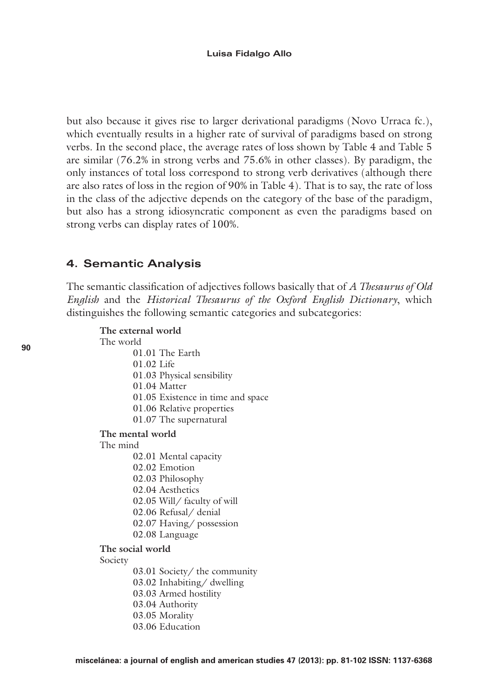but also because it gives rise to larger derivational paradigms (Novo Urraca fc.), which eventually results in a higher rate of survival of paradigms based on strong verbs. In the second place, the average rates of loss shown by Table 4 and Table 5 are similar (76.2% in strong verbs and 75.6% in other classes). By paradigm, the only instances of total loss correspond to strong verb derivatives (although there are also rates of loss in the region of 90% in Table 4). That is to say, the rate of loss in the class of the adjective depends on the category of the base of the paradigm, but also has a strong idiosyncratic component as even the paradigms based on strong verbs can display rates of 100%.

# **4. Semantic Analysis**

The semantic classification of adjectives follows basically that of *A Thesaurus of Old English* and the *Historical Thesaurus of the Oxford English Dictionary*, which distinguishes the following semantic categories and subcategories:

```
The external world
```
The world

- 01.01 The Earth
- 01.02 Life
- 01.03 Physical sensibility
- 01.04 Matter
- 01.05 Existence in time and space
- 01.06 Relative properties
- 01.07 The supernatural

### **The mental world**

The mind

- 02.01 Mental capacity
- 02.02 Emotion
- 02.03 Philosophy
- 02.04 Aesthetics
- 02.05 Will/ faculty of will
- 02.06 Refusal/ denial
- 02.07 Having/ possession
- 02.08 Language

### **The social world**

Society

- 03.01 Society/ the community
- 03.02 Inhabiting/ dwelling
- 03.03 Armed hostility
- 03.04 Authority
- 03.05 Morality
- 03.06 Education

**90**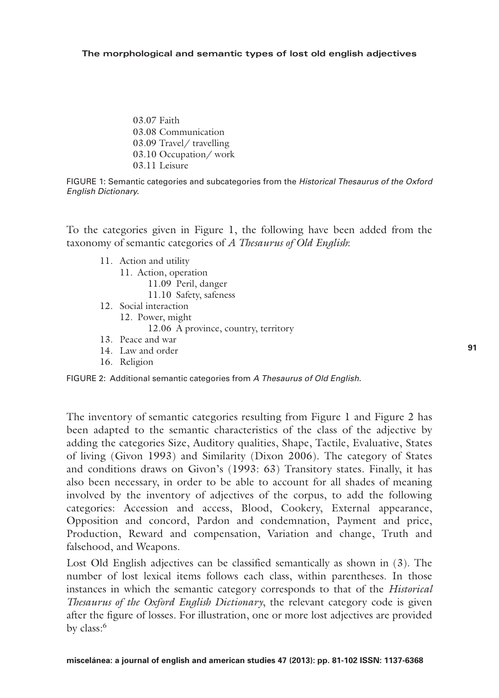#### **The morphological and semantic types of lost old english adjectives**

03.07 Faith 03.08 Communication 03.09 Travel/ travelling 03.10 Occupation/ work 03.11 Leisure

Figure 1: Semantic categories and subcategories from the *Historical Thesaurus of the Oxford English Dictionary.*

To the categories given in Figure 1, the following have been added from the taxonomy of semantic categories of *A Thesaurus of Old English*:

- 11. Action and utility
	- 11. Action, operation 11.09 Peril, danger
		- 11.10 Safety, safeness
- 12. Social interaction 12. Power, might 12.06 A province, country, territory
- 13. Peace and war
- 14. Law and order
- 16. Religion



The inventory of semantic categories resulting from Figure 1 and Figure 2 has been adapted to the semantic characteristics of the class of the adjective by adding the categories Size, Auditory qualities, Shape, Tactile, Evaluative, States of living (Givon 1993) and Similarity (Dixon 2006). The category of States and conditions draws on Givon's (1993: 63) Transitory states. Finally, it has also been necessary, in order to be able to account for all shades of meaning involved by the inventory of adjectives of the corpus, to add the following categories: Accession and access, Blood, Cookery, External appearance, Opposition and concord, Pardon and condemnation, Payment and price, Production, Reward and compensation, Variation and change, Truth and falsehood, and Weapons.

Lost Old English adjectives can be classified semantically as shown in (3). The number of lost lexical items follows each class, within parentheses. In those instances in which the semantic category corresponds to that of the *Historical Thesaurus of the Oxford English Dictionary*, the relevant category code is given after the figure of losses. For illustration, one or more lost adjectives are provided by class:<sup>6</sup>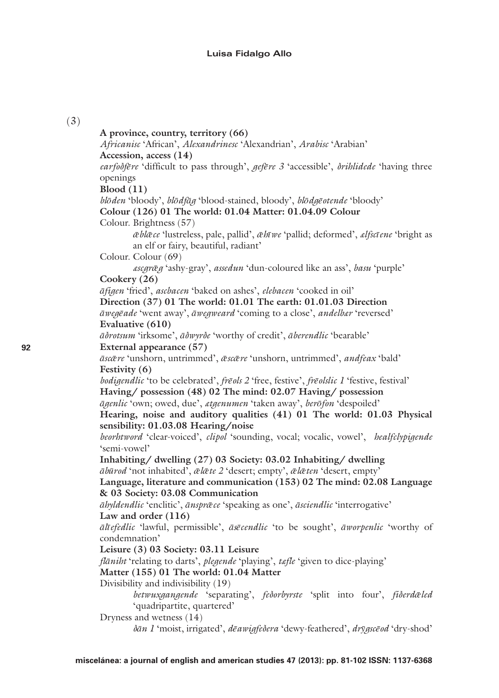#### **Luisa Fidalgo Allo**

### (3)

**A province, country, territory (66)** *Africanisc* 'African', *Alexandrinesc* 'Alexandrian', *Arabisc* 'Arabian' **Accession, access (14)** *earfoðfēre* 'difficult to pass through', *gefēre 3* 'accessible', *ðrihlidede* 'having three openings **Blood (11)** *blōden* 'bloody', *blōdfāg* 'blood-stained, bloody', *blōdgēotende* 'bloody' **Colour (126) 01 The world: 01.04 Matter: 01.04.09 Colour** Colour. Brightness (57) *ǣblǣce* 'lustreless, pale, pallid', *ǣhīwe* 'pallid; deformed', *ælfscīene* 'bright as an elf or fairy, beautiful, radiant' Colour. Colour (69) *æscgrǣg* 'ashy-gray', *assedun* 'dun-coloured like an ass', *basu* 'purple' **Cookery (26)** *āfigen* 'fried', *ascbacen* 'baked on ashes', *elebacen* 'cooked in oil' **Direction (37) 01 The world: 01.01 The earth: 01.01.03 Direction** *āwegēade* 'went away', *āwegweard* 'coming to a close', *andelbær* 'reversed' **Evaluative (610)** *āðrotsum* 'irksome', *āðwyrðe* 'worthy of credit', *āberendlic* 'bearable' **External appearance (57)** *āscǣre* 'unshorn, untrimmed', *ǣscǣre* 'unshorn, untrimmed', *andfeax* 'bald' **Festivity (6)** *bodigendlic* 'to be celebrated', *frēols 2* 'free, festive', *frēolslic 1* 'festive, festival' **Having/ possession (48) 02 The mind: 02.07 Having/ possession** *āgenlic* 'own; owed, due', *ætgenumen* 'taken away', *berōfon* 'despoiled' **Hearing, noise and auditory qualities (41) 01 The world: 01.03 Physical sensibility: 01.03.08 Hearing/noise** *beorhtword* 'clear-voiced', *clipol* 'sounding, vocal; vocalic, vowel', *healfclypigende* 'semi-vowel' **Inhabiting/ dwelling (27) 03 Society: 03.02 Inhabiting/ dwelling** *ābūrod* 'not inhabited', *ǣlǣte 2* 'desert; empty', *ǣlǣten* 'desert, empty' **Language, literature and communication (153) 02 The mind: 02.08 Language & 03 Society: 03.08 Communication** *āhyldendlic* 'enclitic', *ānsprǣce* 'speaking as one', *āsciendlic* 'interrogative' **Law and order (116)** *ālīefedlic* 'lawful, permissible', *āsēcendlic* 'to be sought', *āworpenlic* 'worthy of condemnation' **Leisure (3) 03 Society: 03.11 Leisure** *flāniht* 'relating to darts', *plegende* 'playing', *tæfle* 'given to dice-playing' **Matter (155) 01 The world: 01.04 Matter** Divisibility and indivisibility (19) *betwuxgangende* 'separating', *feðorbyrste* 'split into four', *fiðerdǣled*  'quadripartite, quartered' Dryness and wetness (14) *ðān 1* 'moist, irrigated', *dēawigfeðera* 'dewy-feathered', *drȳgscēod* 'dry-shod'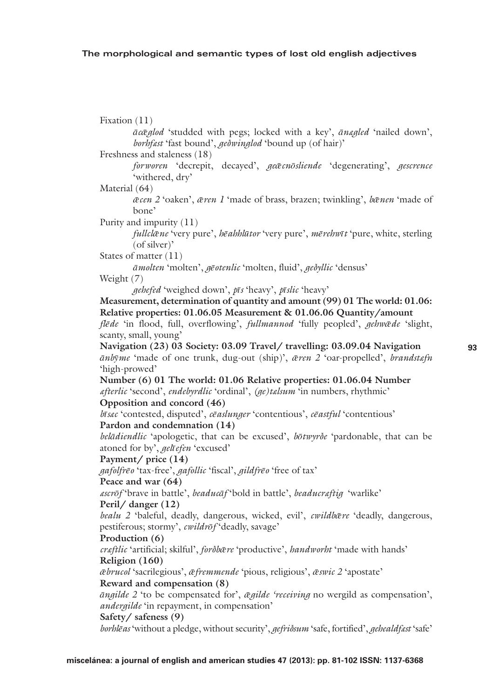Fixation (11) *ācǣglod* 'studded with pegs; locked with a key', *ānægled* 'nailed down', *borhfæst* 'fast bound', *geðwinglod* 'bound up (of hair)' Freshness and staleness (18) *forworen* 'decrepit, decayed', *geǣcnōsliende* 'degenerating', *gescrence* 'withered, dry' Material (64) *ǣcen 2* 'oaken', *ǣren 1* 'made of brass, brazen; twinkling', *bǣnen* 'made of bone' Purity and impurity (11) *fullclǣne* 'very pure', *hēahhlūtor* 'very pure', *mērehwīt* 'pure, white, sterling (of silver)' States of matter (11) *āmolten* 'molten', *gēotenlic* 'molten, fluid', *geðyllic* 'densus' Weight (7) *gehefed* 'weighed down', *pīs* 'heavy', *pīslic* 'heavy' **Measurement, determination of quantity and amount (99) 01 The world: 01.06: Relative properties: 01.06.05 Measurement & 01.06.06 Quantity/amount** *flēde* 'in flood, full, overflowing', *fullmannod* 'fully peopled', *gehwǣde* 'slight, scanty, small, young' **Navigation (23) 03 Society: 03.09 Travel/ travelling: 03.09.04 Navigation** *ānbȳme* 'made of one trunk, dug-out (ship)', *ǣren 2* 'oar-propelled', *brandstæfn* 'high-prowed' **Number (6) 01 The world: 01.06 Relative properties: 01.06.04 Number** *æfterlic* 'second', *endebyrdlic* 'ordinal', *(ge)tælsum* 'in numbers, rhythmic' **Opposition and concord (46)** *bīsæc* 'contested, disputed', *cēaslunger* 'contentious', *cēastful* 'contentious' **Pardon and condemnation (14)** *belādiendlic* 'apologetic, that can be excused', *bōtwyrðe* 'pardonable, that can be atoned for by', *gelīefen* 'excused' **Payment/ price (14)**  *gafolfrēo* 'tax-free', *gafollic* 'fiscal', *gildfrēo* 'free of tax' **Peace and war (64)** *æscrōf* 'brave in battle', *beaducāf* 'bold in battle', *beaducræftig* 'warlike' **Peril/ danger (12)** *bealu 2* 'baleful, deadly, dangerous, wicked, evil', *cwildbǣre* 'deadly, dangerous, pestiferous; stormy', *cwildrōf* 'deadly, savage' **Production (6)** *cræftlic* 'artificial; skilful', *forðbǣre* 'productive', *handworht* 'made with hands' **Religion (160)** *ǣbrucol* 'sacrilegious', *ǣfremmende* 'pious, religious', *ǣswic 2* 'apostate' **Reward and compensation (8)** *āngilde 2* 'to be compensated for', *ǣgilde 'receiving* no wergild as compensation', *andergilde* 'in repayment, in compensation' **Safety/ safeness (9)** *borhlēas* 'without a pledge, without security', *gefriðsum* 'safe, fortified', *gehealdfæst* 'safe'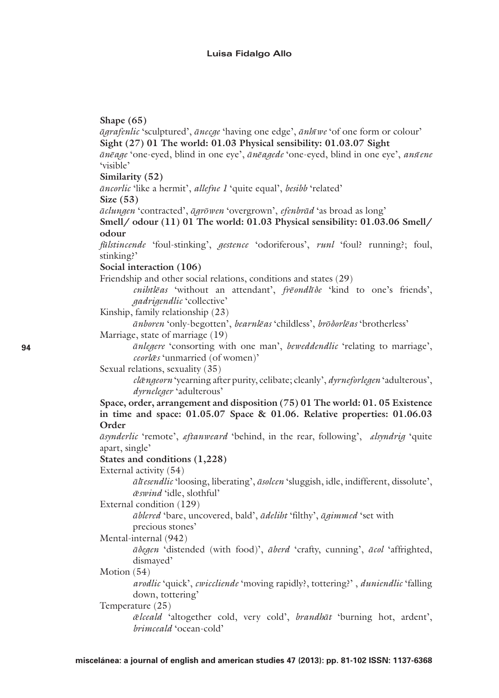Shape  $(65)$ *agrafenlic* 'sculptured', *anecae* 'having one edge', *anhwe* 'of one form or colour' Sight (27) 01 The world: 01.03 Physical sensibility: 01.03.07 Sight ānēgge 'one-eved, blind in one eve', ānēggede 'one-eved, blind in one eve', ansiene 'visible' Similarity  $(52)$ āncorlic 'like a hermit', allefne I 'quite equal', besibb 'related' Size  $(53)$ āclungen 'contracted', āgrōwen 'overgrown', efenbrād 'as broad as long' Smell/ odour (11) 01 The world: 01.03 Physical sensibility: 01.03.06 Smell/ odour fülstincende 'foul-stinking', *gestence* 'odoriferous', *runl* 'foul' running'; foul, stinking?' Social interaction (106) Friendship and other social relations, conditions and states (29) cnihtlēas 'without an attendant', frēondlīde 'kind to one's friends', *gadrigendlic* 'collective' Kinship, family relationship (23) ānboren 'only-begotten', bearnlēas 'childless', brōðorlēas 'brotherless' Marriage, state of marriage (19) *anlegere* 'consorting with one man', *beweddendlic* 'relating to marriage'. ceorlæs 'unmarried (of women)' Sexual relations, sexuality (35) clængeorn 'vearning after purity, celibate; cleanly', dyrneforlegen 'adulterous', dyrneleger 'adulterous' Space, order, arrangement and disposition (75) 01 The world: 01.05 Existence in time and space: 01.05.07 Space & 01.06. Relative properties: 01.06.03 Order asynderlic 'remote', eftanweard 'behind, in the rear, following', elsyndriq 'quite apart, single' States and conditions (1,228) External activity (54) ālī esendlic 'loosing, liberating', āsolcen 'sluggish, idle, indifferent, dissolute', æswind 'idle, slothful' External condition (129) āblered 'bare, uncovered, bald', ādeliht 'filthy', āgimmed 'set with precious stones' Mental-internal (942) ādegen 'distended (with food)', āberd 'crafty, cunning', ācol 'affrighted, dismayed' Motion  $(54)$ *arodlic* 'quick', *cwiccliende* 'moving rapidly', tottering'', *duniendlic* 'falling' down, tottering' Temperature (25) *@lceald* 'altogether cold, very cold', *brandbat* 'burning hot, ardent',  $h$ rimceald ' $o$ cean-cold'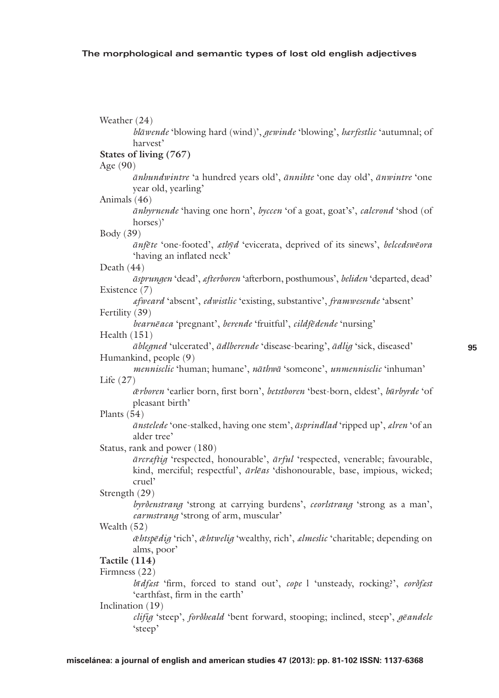Weather (24) blāwende 'blowing hard (wind)', gewinde 'blowing', hærfestlic 'autumnal; of harvest<sup>2</sup> States of living (767) Age  $(90)$ ānhundwintre 'a hundred years old', ānnihte 'one day old', ānwintre 'one vear old, vearling' Animals (46) *anbyrnende* 'having one horn', *bycen* 'of a goat, goat's', *calcrond* 'shod (of horses)<sup>2</sup> Body (39) anfete 'one-footed', athyd 'evicerata, deprived of its sinews', belcedsweora 'having an inflated neck' Death (44) āsprungen 'dead', afterboren 'afterborn, posthumous', beliden 'departed, dead' Existence (7) afweard 'absent', edwistlic 'existing, substantive', framwesende 'absent' Fertility (39) bearnēaca 'pregnant', berende 'fruitful', cildfēdende 'nursing' Health  $(151)$ *ableaned* 'ulcerated', *adlberende* 'disease-bearing', *adlia* 'sick, diseased' Humankind, people (9) mennisclic 'human; humane', nāthwā 'someone', unmennisclic 'inhuman' Life  $(27)$ ærboren 'earlier born, first born', betstboren 'best-born, eldest', būrbyrde 'of pleasant birth' Plants  $(54)$ *ānstelede* 'one-stalked, having one stem', *āsprindlad* 'ripped up', *elren* 'of an alder tree' Status, rank and power (180) ārcraftig 'respected, honourable', ārful 'respected, venerable; favourable, kind, merciful; respectful', ārlēas 'dishonourable, base, impious, wicked; cruel' Strength (29) byrdenstrang 'strong at carrying burdens', ceorlstrang 'strong as a man', earmstrang 'strong of arm, muscular' Wealth (52) æhtspēdig 'rich', æhtwelig 'wealthy, rich', almeslic 'charitable; depending on alms, poor' Tactile (114) Firmness (22) bī dfest 'firm, forced to stand out', cope l 'unsteady, rocking!', eordfest 'earthfast, firm in the earth' Inclination (19) clifig 'steep', forotheald 'bent forward, stooping; inclined, steep', geandele 'steep'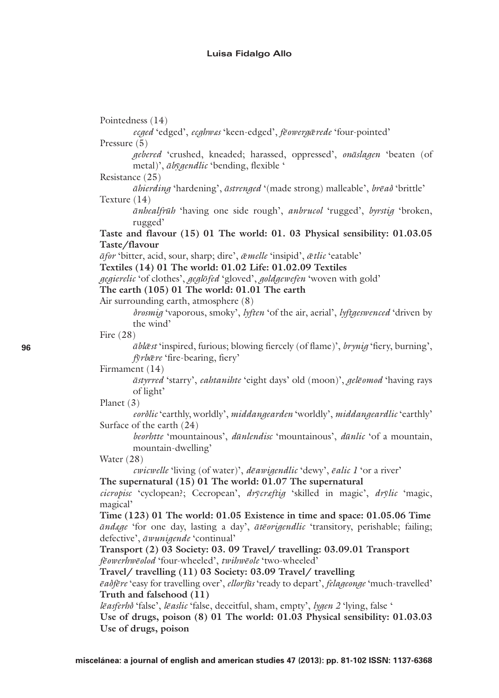Pointedness (14) ecged 'edged', ecghwas 'keen-edged', feowergærede 'four-pointed' Pressure (5) aebered 'crushed, kneaded; harassed, oppressed', onāslagen 'beaten (of metal)', abygendlic 'bending, flexible ' Resistance (25) āhierding 'hardening', āstrenged '(made strong) malleable', brēað 'brittle' Texture (14) *anhealfrah* 'having one side rough', *anbrucol* 'rugged', *byrstia* 'broken, rugged' Taste and flavour (15) 01 The world: 01. 03 Physical sensibility: 01.03.05 Taste/flavour āfor 'bitter, acid, sour, sharp; dire', @melle 'insipid', @tlic 'eatable' Textiles (14) 01 The world: 01.02 Life: 01.02.09 Textiles *gegierelic* 'of clothes', *geglofed* 'gloved', *goldgewefen* 'woven with gold' The earth (105) 01 The world: 01.01 The earth Air surrounding earth, atmosphere (8) *drosmig* 'vaporous, smoky', *lyften* 'of the air, aerial', *lyftgeswenced* 'driven by the wind' Fire  $(28)$ *āblāst* 'inspired, furious; blowing fiercely (of flame)', *brynig* 'fiery, burning', fyrbære 'fire-bearing, fiery' Firmament (14) *āstyrred* 'starry', *eahtanihte* 'eight days' old (moon)', *gelēomod* 'having rays of light' Planet  $(3)$ eorólic 'earthly, worldly', middangearden 'worldly', middangeardlic 'earthly' Surface of the earth (24) beorhtte 'mountainous', dūnlendisc 'mountainous', dūnlic 'of a mountain, mountain-dwelling' Water  $(28)$ cwicwelle 'living (of water)', dēawigendlic 'dewy', ēalic I 'or a river' The supernatural (15) 01 The world: 01.07 The supernatural cicropisc 'cyclopean'; Cecropean', drycraftig 'skilled in magic', drylic 'magic, magical' Time  $(123)$  01 The world: 01.05 Existence in time and space: 01.05.06 Time andege 'for one day, lasting a day', ateorigendlic 'transitory, perishable; failing; defective', āwunigende 'continual' Transport (2) 03 Society: 03. 09 Travel/travelling: 03.09.01 Transport fēowerhwēolod 'four-wheeled', twihwēole 'two-wheeled' Travel/travelling (11) 03 Society: 03.09 Travel/travelling ēaðfēre 'easy for travelling over', ellorfūs 'ready to depart', felageonge 'much-travelled' Truth and falsehood (11) lēasferhõ 'false', lēaslic 'false, deceitful, sham, empty', lygen 2 'lying, false ' Use of drugs, poison (8) 01 The world: 01.03 Physical sensibility: 01.03.03 Use of drugs, poison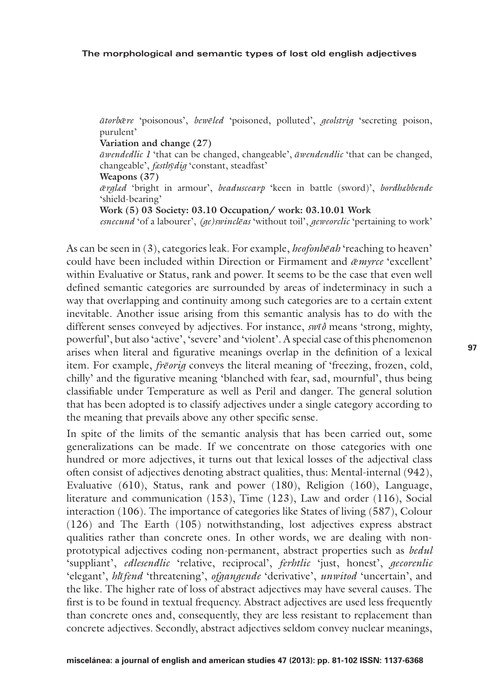*ātorbǣre* 'poisonous', *bewēled* 'poisoned, polluted', *geolstrig* 'secreting poison, purulent'

**Variation and change (27)**

*āwendedlic 1* 'that can be changed, changeable', *āwendendlic* 'that can be changed, changeable', *fæsthȳdig* 'constant, steadfast'

**Weapons (37)**

*ǣrglæd* 'bright in armour', *beaduscearp* 'keen in battle (sword)', *bordhæbbende* 'shield-bearing'

**Work (5) 03 Society: 03.10 Occupation/ work: 03.10.01 Work**

*esnecund* 'of a labourer', *(ge)swinclēas* 'without toil', *geweorclic* 'pertaining to work'

As can be seen in (3), categories leak. For example, *heofonhēah* 'reaching to heaven' could have been included within Direction or Firmament and *ǣmyrce* 'excellent' within Evaluative or Status, rank and power. It seems to be the case that even well defined semantic categories are surrounded by areas of indeterminacy in such a way that overlapping and continuity among such categories are to a certain extent inevitable. Another issue arising from this semantic analysis has to do with the different senses conveyed by adjectives. For instance, *swīð* means 'strong, mighty, powerful', but also 'active', 'severe' and 'violent'. A special case of this phenomenon arises when literal and figurative meanings overlap in the definition of a lexical item. For example, *frēorig* conveys the literal meaning of 'freezing, frozen, cold, chilly' and the figurative meaning 'blanched with fear, sad, mournful', thus being classifiable under Temperature as well as Peril and danger. The general solution that has been adopted is to classify adjectives under a single category according to the meaning that prevails above any other specific sense.

In spite of the limits of the semantic analysis that has been carried out, some generalizations can be made. If we concentrate on those categories with one hundred or more adjectives, it turns out that lexical losses of the adjectival class often consist of adjectives denoting abstract qualities, thus: Mental-internal (942), Evaluative (610), Status, rank and power (180), Religion (160), Language, literature and communication (153), Time (123), Law and order (116), Social interaction (106). The importance of categories like States of living (587), Colour (126) and The Earth (105) notwithstanding, lost adjectives express abstract qualities rather than concrete ones. In other words, we are dealing with nonprototypical adjectives coding non-permanent, abstract properties such as *bedul* 'suppliant', *edlesendlic* 'relative, reciprocal', *ferhtlic* 'just, honest', *gecorenlic*  'elegant', *hlīfend* 'threatening', *ofgangende* 'derivative', *unwitod* 'uncertain', and the like. The higher rate of loss of abstract adjectives may have several causes. The first is to be found in textual frequency. Abstract adjectives are used less frequently than concrete ones and, consequently, they are less resistant to replacement than concrete adjectives. Secondly, abstract adjectives seldom convey nuclear meanings,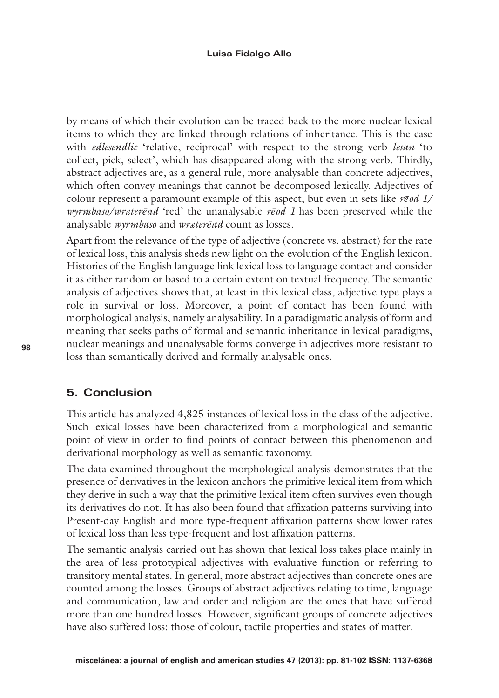by means of which their evolution can be traced back to the more nuclear lexical items to which they are linked through relations of inheritance. This is the case with *edlesendlic* 'relative, reciprocal' with respect to the strong verb *lesan* 'to collect, pick, select', which has disappeared along with the strong verb. Thirdly, abstract adjectives are, as a general rule, more analysable than concrete adjectives, which often convey meanings that cannot be decomposed lexically. Adjectives of colour represent a paramount example of this aspect, but even in sets like *rēod 1/ wyrmbaso/wræterēad* 'red' the unanalysable *rēod 1* has been preserved while the analysable *wyrmbaso* and *wræterēad* count as losses.

Apart from the relevance of the type of adjective (concrete vs. abstract) for the rate of lexical loss, this analysis sheds new light on the evolution of the English lexicon. Histories of the English language link lexical loss to language contact and consider it as either random or based to a certain extent on textual frequency. The semantic analysis of adjectives shows that, at least in this lexical class, adjective type plays a role in survival or loss. Moreover, a point of contact has been found with morphological analysis, namely analysability. In a paradigmatic analysis of form and meaning that seeks paths of formal and semantic inheritance in lexical paradigms, nuclear meanings and unanalysable forms converge in adjectives more resistant to loss than semantically derived and formally analysable ones.

# **5. Conclusion**

This article has analyzed 4,825 instances of lexical loss in the class of the adjective*.*  Such lexical losses have been characterized from a morphological and semantic point of view in order to find points of contact between this phenomenon and derivational morphology as well as semantic taxonomy.

The data examined throughout the morphological analysis demonstrates that the presence of derivatives in the lexicon anchors the primitive lexical item from which they derive in such a way that the primitive lexical item often survives even though its derivatives do not. It has also been found that affixation patterns surviving into Present-day English and more type-frequent affixation patterns show lower rates of lexical loss than less type-frequent and lost affixation patterns.

The semantic analysis carried out has shown that lexical loss takes place mainly in the area of less prototypical adjectives with evaluative function or referring to transitory mental states. In general, more abstract adjectives than concrete ones are counted among the losses. Groups of abstract adjectives relating to time, language and communication, law and order and religion are the ones that have suffered more than one hundred losses. However, significant groups of concrete adjectives have also suffered loss: those of colour, tactile properties and states of matter.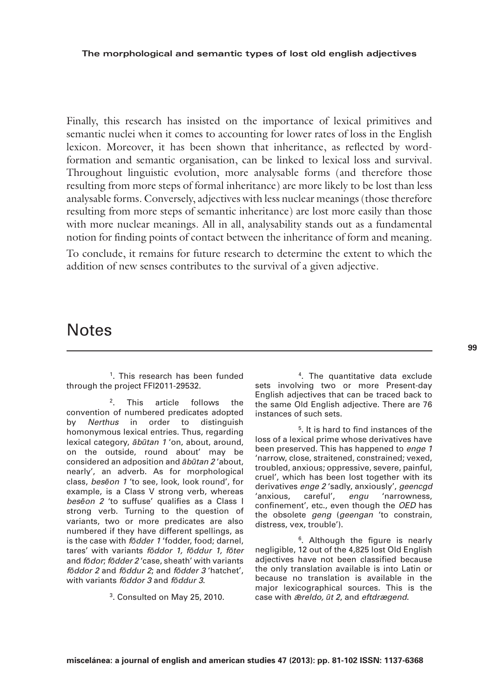Finally, this research has insisted on the importance of lexical primitives and semantic nuclei when it comes to accounting for lower rates of loss in the English lexicon. Moreover, it has been shown that inheritance, as reflected by wordformation and semantic organisation, can be linked to lexical loss and survival. Throughout linguistic evolution, more analysable forms (and therefore those resulting from more steps of formal inheritance) are more likely to be lost than less analysable forms. Conversely, adjectives with less nuclear meanings (those therefore resulting from more steps of semantic inheritance) are lost more easily than those with more nuclear meanings. All in all, analysability stands out as a fundamental notion for finding points of contact between the inheritance of form and meaning.

To conclude, it remains for future research to determine the extent to which the addition of new senses contributes to the survival of a given adjective.

# **Notes**

<sup>1</sup>. This research has been funded through the project FFI2011-29532.

2. This article follows the convention of numbered predicates adopted by *Nerthus* in order to distinguish homonymous lexical entries. Thus, regarding lexical category, *ābūtan 1* 'on, about, around, on the outside, round about' may be considered an adposition and *ābūtan 2* 'about, nearly', an adverb. As for morphological class, *besēon 1* 'to see, look, look round', for example, is a Class V strong verb, whereas *besēon 2* 'to suffuse' qualifies as a Class I strong verb. Turning to the question of variants, two or more predicates are also numbered if they have different spellings, as is the case with *fōdder 1* 'fodder, food; darnel, tares' with variants *fōddor 1, fōddur 1, fōter* and *fōdor*; *fōdder 2* 'case, sheath' with variants *fōddor 2* and *fōddur 2*; and *fōdder 3* 'hatchet', with variants *fōddor 3* and *fōddur 3*.

3. Consulted on May 25, 2010.

4. The quantitative data exclude sets involving two or more Present-day English adjectives that can be traced back to the same Old English adjective. There are 76 instances of such sets.

5. It is hard to find instances of the loss of a lexical prime whose derivatives have been preserved. This has happened to *enge 1* 'narrow, close, straitened, constrained; vexed, troubled, anxious; oppressive, severe, painful, cruel', which has been lost together with its derivatives *enge 2* 'sadly, anxiously', *geencgd* 'anxious, careful', *engu* 'narrowness, confinement', etc., even though the *OED* has the obsolete *geng* (*geengan* 'to constrain, distress, vex, trouble').

<sup>6</sup>. Although the figure is nearly negligible, 12 out of the 4,825 lost Old English adjectives have not been classified because the only translation available is into Latin or because no translation is available in the major lexicographical sources. This is the case with ǣ*reldo, ūt 2*, and *eftdrægend.*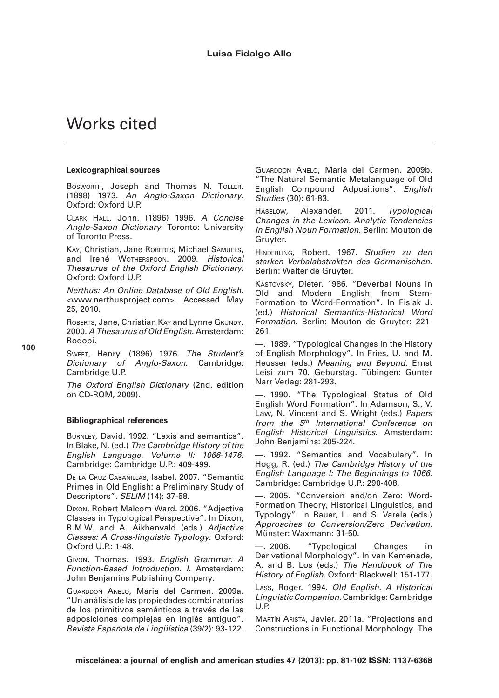# Works cited

#### **Lexicographical sources**

Bosworth, Joseph and Thomas N. TOLLER. (1898) 1973. *An Anglo-Saxon Dictionary*. Oxford: Oxford U.P.

Clark Hall, John. (1896) 1996*. A Concise Anglo-Saxon Dictionary*. Toronto: University of Toronto Press.

KAY, Christian, Jane ROBERTS, Michael SAMUELS, and Irené Wotherspoon. 2009. *Historical Thesaurus of the Oxford English Dictionary.*  Oxford: Oxford U.P.

*Nerthus: An Online Database of Old English.* <www.nerthusproject.com>. Accessed May 25, 2010.

ROBERTS, Jane, Christian KAY and Lynne GRUNDY. 2000. *A Thesaurus of Old English*. Amsterdam: Rodopi.

Sweet, Henry. (1896) 1976. *The Student's Dictionary of Anglo-Saxon*. Cambridge: Cambridge U.P.

*The Oxford English Dictionary* (2nd. edition on CD-ROM, 2009).

#### **Bibliographical references**

Burnley, David. 1992. "Lexis and semantics". In Blake, N. (ed.) *The Cambridge History of the English Language. Volume II: 1066-1476*. Cambridge: Cambridge U.P.: 409-499.

De la Cruz Cabanillas, Isabel. 2007. "Semantic Primes in Old English: a Preliminary Study of Descriptors". *SELIM* (14): 37-58.

Dixon, Robert Malcom Ward. 2006. "Adjective Classes in Typological Perspective". In Dixon, R.M.W. and A. Aikhenvald (eds.) *Adjective Classes: A Cross-linguistic Typology*. Oxford: Oxford U.P.: 1-48.

Givon, Thomas. 1993. *English Grammar. A Function-Based Introduction. I.* Amsterdam: John Benjamins Publishing Company.

Guarddon Anelo, Maria del Carmen. 2009a. "Un análisis de las propiedades combinatorias de los primitivos semánticos a través de las adposiciones complejas en inglés antiguo". *Revista Española de Lingüística* (39/2): 93-122. GUARDDON ANELO, Maria del Carmen. 2009b. "The Natural Semantic Metalanguage of Old English Compound Adpositions". *English Studies* (30): 61-83.

Haselow, Alexander. 2011. *Typological Changes in the Lexicon. Analytic Tendencies in English Noun Formation.* Berlin: Mouton de Gruyter.

Hinderling, Robert. 1967. *Studien zu den starken Verbalabstrakten des Germanischen.* Berlin: Walter de Gruyter.

Kastovsky, Dieter. 1986. "Deverbal Nouns in Old and Modern English: from Stem-Formation to Word-Formation". In Fisiak J. (ed.) *Historical Semantics-Historical Word Formation*. Berlin: Mouton de Gruyter: 221- 261.

—. 1989. "Typological Changes in the History of English Morphology". In Fries, U. and M. Heusser (eds.) *Meaning and Beyond*. Ernst Leisi zum 70. Geburstag. Tübingen: Gunter Narr Verlag: 281-293.

—. 1990. "The Typological Status of Old English Word Formation". In Adamson, S., V. Law, N. Vincent and S. Wright (eds.) *Papers from the 5th International Conference on English Historical Linguistics*. Amsterdam: John Benjamins: 205-224.

—. 1992. "Semantics and Vocabulary". In Hogg, R. (ed.) *The Cambridge History of the English Language I: The Beginnings to 1066*. Cambridge: Cambridge U.P.: 290-408.

—. 2005. "Conversion and/on Zero: Word-Formation Theory, Historical Linguistics, and Typology". In Bauer, L. and S. Varela (eds.) *Approaches to Conversion/Zero Derivation*. Münster: Waxmann: 31-50.

—. 2006. "Typological Changes in Derivational Morphology". In van Kemenade, A. and B. Los (eds.) *The Handbook of The History of English*. Oxford: Blackwell: 151-177.

Lass, Roger. 1994. *Old English. A Historical Linguistic Companion*. Cambridge: Cambridge U.P.

Martín Arista, Javier. 2011a. "Projections and Constructions in Functional Morphology. The